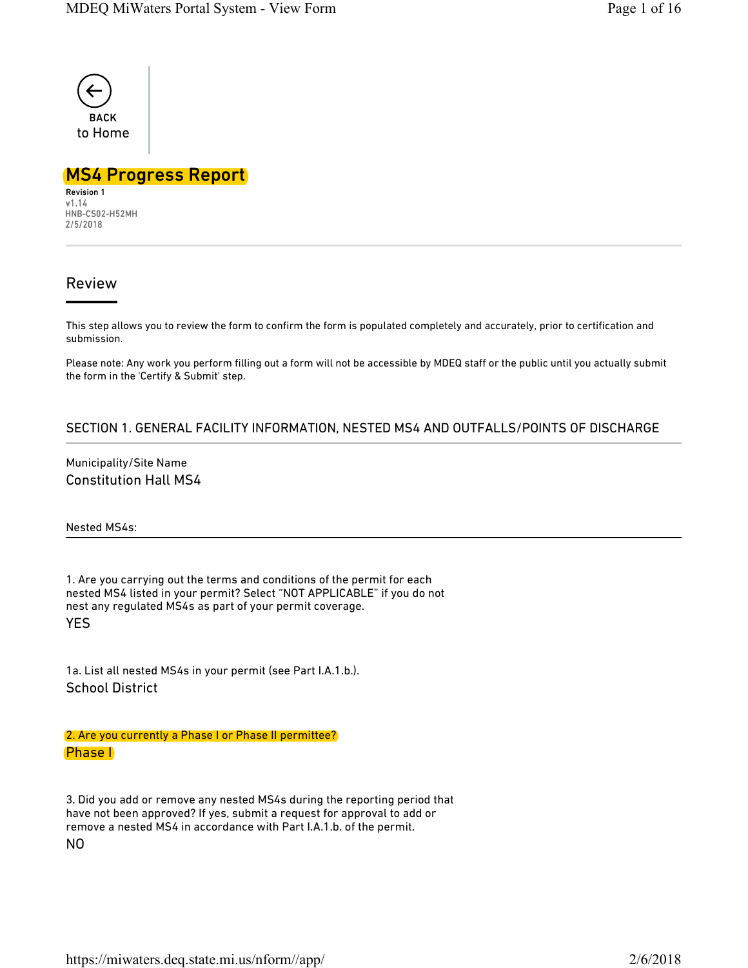

# MS4 Progress Report

Revision 1<br>v1.14 HNB-CS02-H52MH 2/5/2018

# Review

This step allows you to review the form to confirm the form is populated completely and accurately, prior to certification and submission.

Please note: Any work you perform filling out a form will not be accessible by MDEQ staff or the public until you actually submit the form in the 'Certify & Submit' step.

## SECTION 1. GENERAL FACILITY INFORMATION, NESTED MS4 AND OUTFALLS/POINTS OF DISCHARGE

Municipality/Site Name Constitution Hall MS4

Nested MS4s:

1. Are you carrying out the terms and conditions of the permit for each nested MS4 listed in your permit? Select "NOT APPLICABLE" if you do not nest any regulated MS4s as part of your permit coverage. YES

1a. List all nested MS4s in your permit (see Part I.A.1.b.). School District

2. Are you currently a Phase I or Phase II permittee? Phase I

3. Did you add or remove any nested MS4s during the reporting period that have not been approved? If yes, submit a request for approval to add or remove a nested MS4 in accordance with Part I.A.1.b. of the permit. NO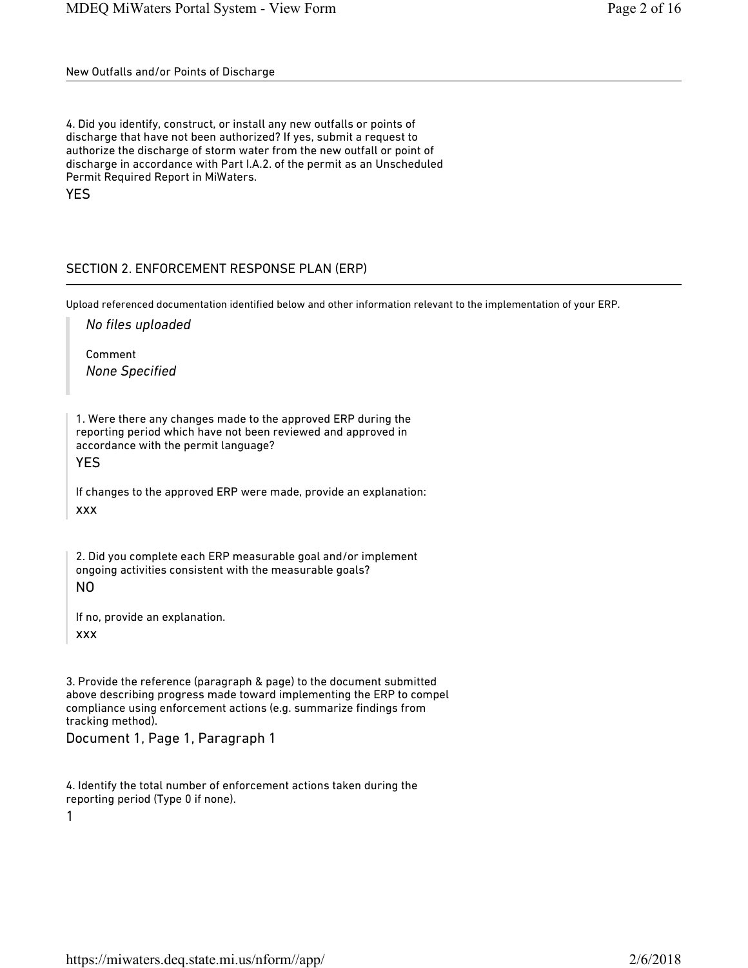New Outfalls and/or Points of Discharge

4. Did you identify, construct, or install any new outfalls or points of discharge that have not been authorized? If yes, submit a request to authorize the discharge of storm water from the new outfall or point of discharge in accordance with Part I.A.2. of the permit as an Unscheduled Permit Required Report in MiWaters. YES

# SECTION 2. ENFORCEMENT RESPONSE PLAN (ERP)

Upload referenced documentation identified below and other information relevant to the implementation of your ERP.

*No files uploaded*

Comment *None Specified*

1. Were there any changes made to the approved ERP during the reporting period which have not been reviewed and approved in accordance with the permit language?

YES

If changes to the approved ERP were made, provide an explanation: xxx

2. Did you complete each ERP measurable goal and/or implement ongoing activities consistent with the measurable goals? NO

If no, provide an explanation. xxx

3. Provide the reference (paragraph & page) to the document submitted above describing progress made toward implementing the ERP to compel compliance using enforcement actions (e.g. summarize findings from tracking method).

Document 1, Page 1, Paragraph 1

4. Identify the total number of enforcement actions taken during the reporting period (Type 0 if none).

1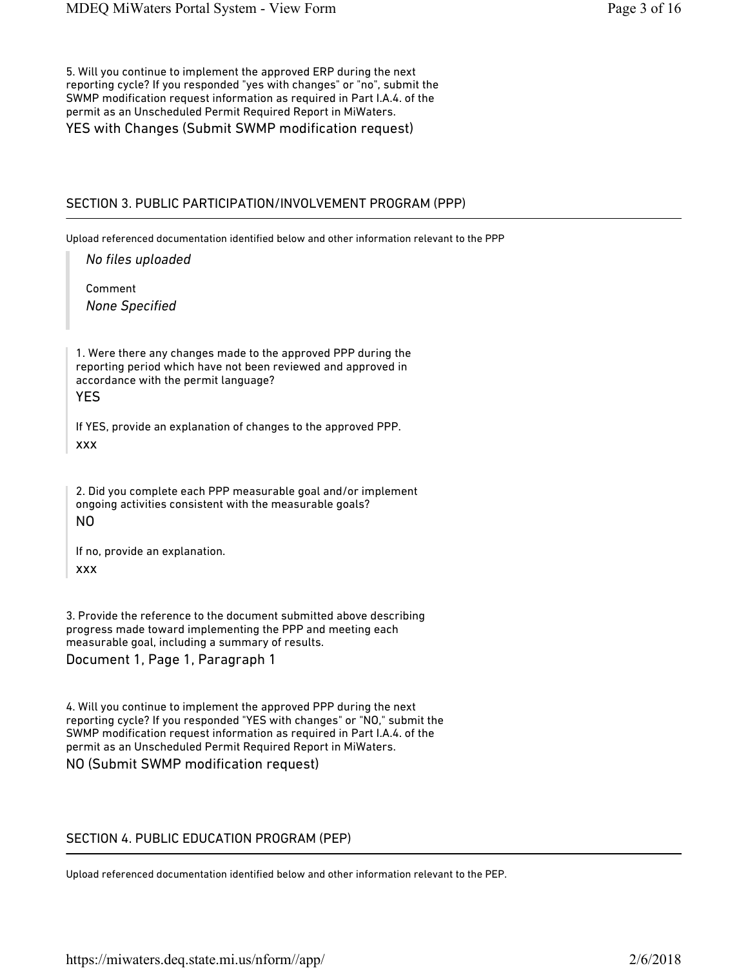5. Will you continue to implement the approved ERP during the next reporting cycle? If you responded "yes with changes" or "no", submit the SWMP modification request information as required in Part I.A.4. of the permit as an Unscheduled Permit Required Report in MiWaters. YES with Changes (Submit SWMP modification request)

## SECTION 3. PUBLIC PARTICIPATION/INVOLVEMENT PROGRAM (PPP)

Upload referenced documentation identified below and other information relevant to the PPP

*No files uploaded*

Comment *None Specified*

1. Were there any changes made to the approved PPP during the reporting period which have not been reviewed and approved in accordance with the permit language? YES

If YES, provide an explanation of changes to the approved PPP. xxx

2. Did you complete each PPP measurable goal and/or implement ongoing activities consistent with the measurable goals? NO

If no, provide an explanation. xxx

3. Provide the reference to the document submitted above describing progress made toward implementing the PPP and meeting each measurable goal, including a summary of results. Document 1, Page 1, Paragraph 1

4. Will you continue to implement the approved PPP during the next reporting cycle? If you responded "YES with changes" or "NO," submit the SWMP modification request information as required in Part I.A.4. of the permit as an Unscheduled Permit Required Report in MiWaters.

### NO (Submit SWMP modification request)

## SECTION 4. PUBLIC EDUCATION PROGRAM (PEP)

Upload referenced documentation identified below and other information relevant to the PEP.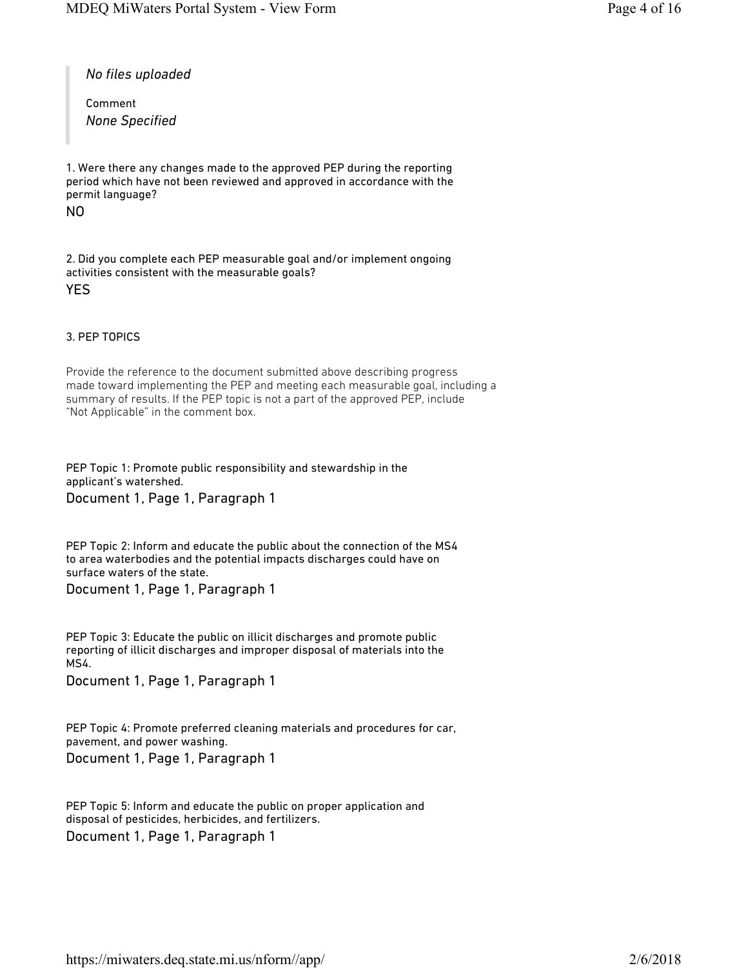*No files uploaded*

Comment *None Specified*

1. Were there any changes made to the approved PEP during the reporting period which have not been reviewed and approved in accordance with the permit language?

NO

2. Did you complete each PEP measurable goal and/or implement ongoing activities consistent with the measurable goals? YES

#### 3. PEP TOPICS

Provide the reference to the document submitted above describing progress made toward implementing the PEP and meeting each measurable goal, including a summary of results. If the PEP topic is not a part of the approved PEP, include "Not Applicable" in the comment box.

PEP Topic 1: Promote public responsibility and stewardship in the applicant's watershed. Document 1, Page 1, Paragraph 1

PEP Topic 2: Inform and educate the public about the connection of the MS4 to area waterbodies and the potential impacts discharges could have on surface waters of the state.

Document 1, Page 1, Paragraph 1

PEP Topic 3: Educate the public on illicit discharges and promote public reporting of illicit discharges and improper disposal of materials into the MS4.

Document 1, Page 1, Paragraph 1

PEP Topic 4: Promote preferred cleaning materials and procedures for car, pavement, and power washing. Document 1, Page 1, Paragraph 1

PEP Topic 5: Inform and educate the public on proper application and disposal of pesticides, herbicides, and fertilizers. Document 1, Page 1, Paragraph 1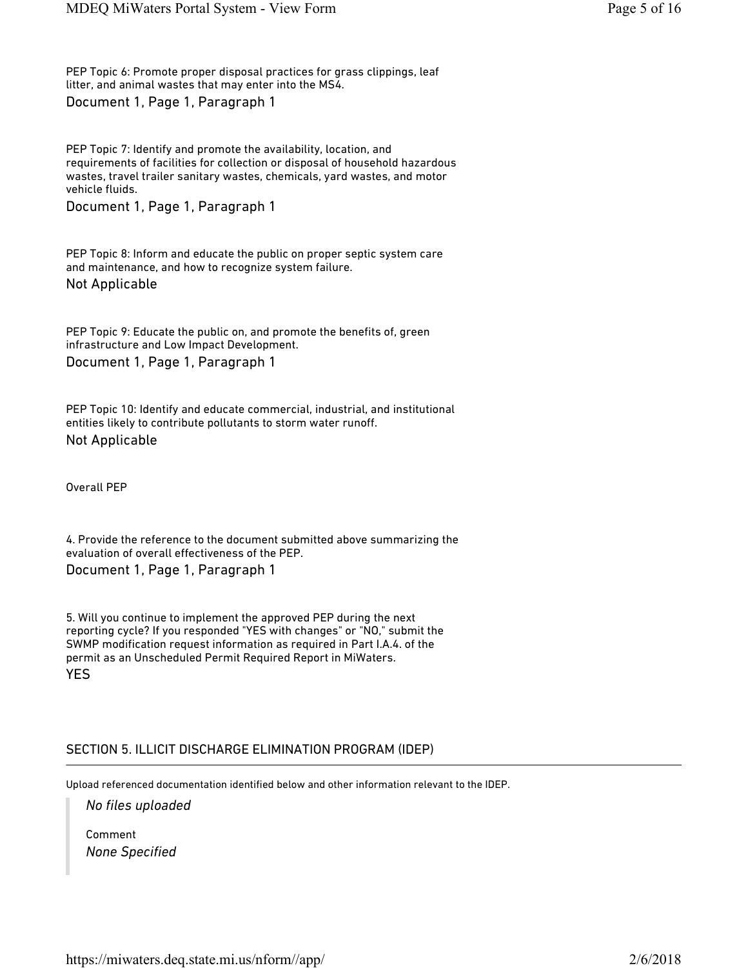PEP Topic 6: Promote proper disposal practices for grass clippings, leaf litter, and animal wastes that may enter into the MS4. Document 1, Page 1, Paragraph 1

PEP Topic 7: Identify and promote the availability, location, and requirements of facilities for collection or disposal of household hazardous wastes, travel trailer sanitary wastes, chemicals, yard wastes, and motor vehicle fluids.

Document 1, Page 1, Paragraph 1

PEP Topic 8: Inform and educate the public on proper septic system care and maintenance, and how to recognize system failure. Not Applicable

PEP Topic 9: Educate the public on, and promote the benefits of, green infrastructure and Low Impact Development. Document 1, Page 1, Paragraph 1

PEP Topic 10: Identify and educate commercial, industrial, and institutional entities likely to contribute pollutants to storm water runoff. Not Applicable

Overall PEP

4. Provide the reference to the document submitted above summarizing the evaluation of overall effectiveness of the PEP. Document 1, Page 1, Paragraph 1

5. Will you continue to implement the approved PEP during the next reporting cycle? If you responded "YES with changes" or "NO," submit the SWMP modification request information as required in Part I.A.4. of the permit as an Unscheduled Permit Required Report in MiWaters. YES

### SECTION 5. ILLICIT DISCHARGE ELIMINATION PROGRAM (IDEP)

Upload referenced documentation identified below and other information relevant to the IDEP.

*No files uploaded*

Comment *None Specified*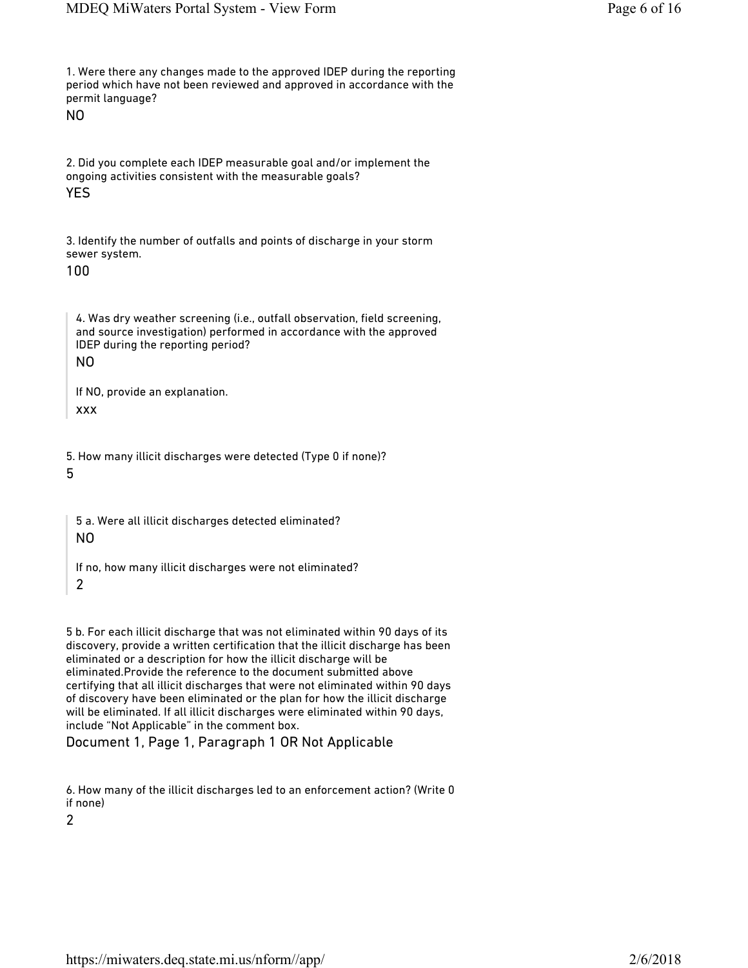1. Were there any changes made to the approved IDEP during the reporting period which have not been reviewed and approved in accordance with the permit language?

NO

2. Did you complete each IDEP measurable goal and/or implement the ongoing activities consistent with the measurable goals?

YES

3. Identify the number of outfalls and points of discharge in your storm sewer system.

100

4. Was dry weather screening (i.e., outfall observation, field screening, and source investigation) performed in accordance with the approved IDEP during the reporting period? NO

If NO, provide an explanation. xxx

5. How many illicit discharges were detected (Type 0 if none)? 5

5 a. Were all illicit discharges detected eliminated? NO

If no, how many illicit discharges were not eliminated? 2

5 b. For each illicit discharge that was not eliminated within 90 days of its discovery, provide a written certification that the illicit discharge has been eliminated or a description for how the illicit discharge will be eliminated.Provide the reference to the document submitted above certifying that all illicit discharges that were not eliminated within 90 days of discovery have been eliminated or the plan for how the illicit discharge will be eliminated. If all illicit discharges were eliminated within 90 days, include "Not Applicable" in the comment box.

Document 1, Page 1, Paragraph 1 OR Not Applicable

6. How many of the illicit discharges led to an enforcement action? (Write 0 if none)

2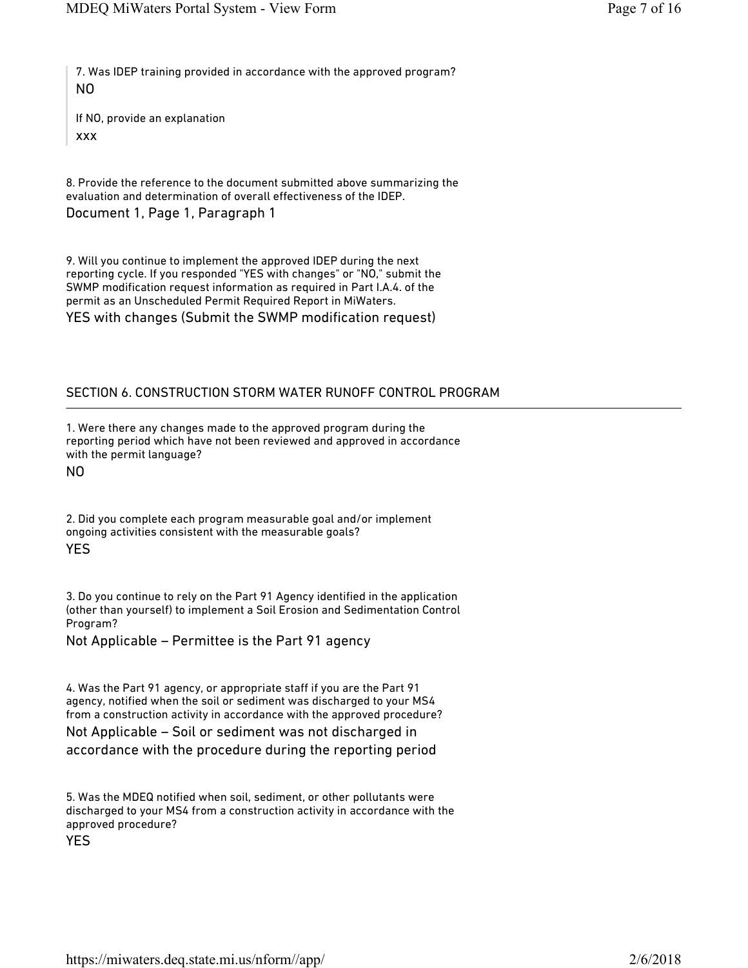7. Was IDEP training provided in accordance with the approved program? NO

If NO, provide an explanation xxx

8. Provide the reference to the document submitted above summarizing the evaluation and determination of overall effectiveness of the IDEP.

Document 1, Page 1, Paragraph 1

9. Will you continue to implement the approved IDEP during the next reporting cycle. If you responded "YES with changes" or "NO," submit the SWMP modification request information as required in Part I.A.4. of the permit as an Unscheduled Permit Required Report in MiWaters.

YES with changes (Submit the SWMP modification request)

## SECTION 6. CONSTRUCTION STORM WATER RUNOFF CONTROL PROGRAM

1. Were there any changes made to the approved program during the reporting period which have not been reviewed and approved in accordance with the permit language?

NO

2. Did you complete each program measurable goal and/or implement ongoing activities consistent with the measurable goals? YES

3. Do you continue to rely on the Part 91 Agency identified in the application (other than yourself) to implement a Soil Erosion and Sedimentation Control Program?

Not Applicable – Permittee is the Part 91 agency

4. Was the Part 91 agency, or appropriate staff if you are the Part 91 agency, notified when the soil or sediment was discharged to your MS4 from a construction activity in accordance with the approved procedure?

Not Applicable – Soil or sediment was not discharged in accordance with the procedure during the reporting period

5. Was the MDEQ notified when soil, sediment, or other pollutants were discharged to your MS4 from a construction activity in accordance with the approved procedure?

YES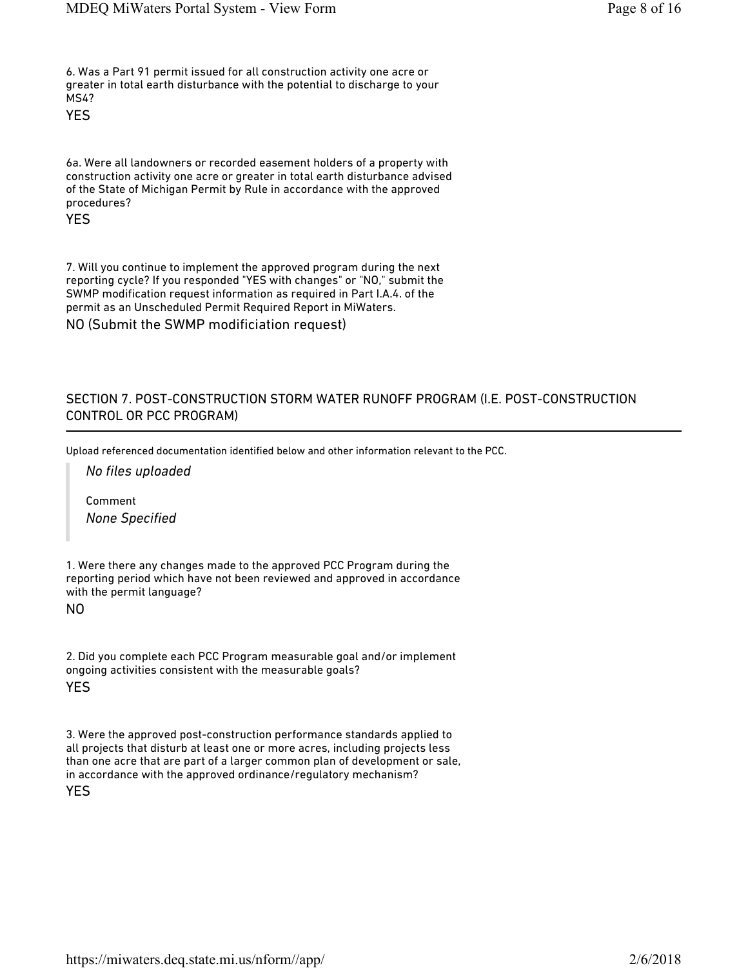6. Was a Part 91 permit issued for all construction activity one acre or greater in total earth disturbance with the potential to discharge to your MS4?

YES

6a. Were all landowners or recorded easement holders of a property with construction activity one acre or greater in total earth disturbance advised of the State of Michigan Permit by Rule in accordance with the approved procedures?

YES

7. Will you continue to implement the approved program during the next reporting cycle? If you responded "YES with changes" or "NO," submit the SWMP modification request information as required in Part I.A.4. of the permit as an Unscheduled Permit Required Report in MiWaters. NO (Submit the SWMP modificiation request)

## SECTION 7. POST-CONSTRUCTION STORM WATER RUNOFF PROGRAM (I.E. POST-CONSTRUCTION CONTROL OR PCC PROGRAM)

Upload referenced documentation identified below and other information relevant to the PCC.

*No files uploaded*

Comment *None Specified*

1. Were there any changes made to the approved PCC Program during the reporting period which have not been reviewed and approved in accordance with the permit language?

#### NO

2. Did you complete each PCC Program measurable goal and/or implement ongoing activities consistent with the measurable goals? YES

3. Were the approved post-construction performance standards applied to all projects that disturb at least one or more acres, including projects less than one acre that are part of a larger common plan of development or sale, in accordance with the approved ordinance/regulatory mechanism?

#### YES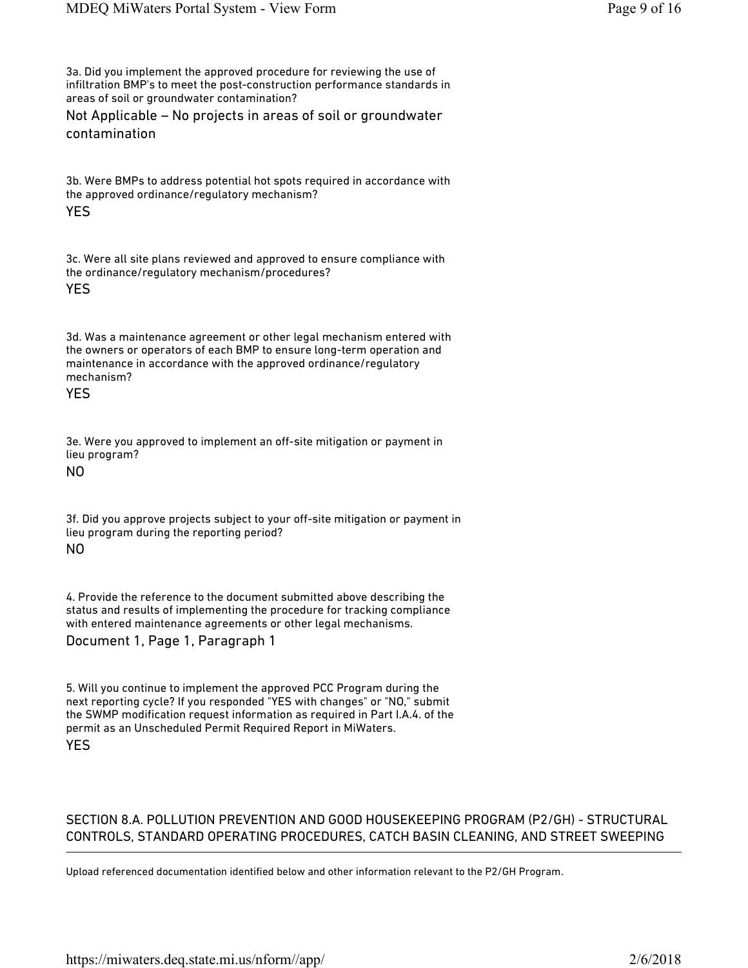3a. Did you implement the approved procedure for reviewing the use of infiltration BMP's to meet the post-construction performance standards in areas of soil or groundwater contamination?

Not Applicable – No projects in areas of soil or groundwater contamination

3b. Were BMPs to address potential hot spots required in accordance with the approved ordinance/regulatory mechanism?

### YES

3c. Were all site plans reviewed and approved to ensure compliance with the ordinance/regulatory mechanism/procedures?

#### YES

3d. Was a maintenance agreement or other legal mechanism entered with the owners or operators of each BMP to ensure long-term operation and maintenance in accordance with the approved ordinance/regulatory mechanism?

### YES

3e. Were you approved to implement an off-site mitigation or payment in lieu program?

## NO

3f. Did you approve projects subject to your off-site mitigation or payment in lieu program during the reporting period?

### NO

4. Provide the reference to the document submitted above describing the status and results of implementing the procedure for tracking compliance with entered maintenance agreements or other legal mechanisms.

### Document 1, Page 1, Paragraph 1

5. Will you continue to implement the approved PCC Program during the next reporting cycle? If you responded "YES with changes" or "NO," submit the SWMP modification request information as required in Part I.A.4. of the permit as an Unscheduled Permit Required Report in MiWaters. YES

## SECTION 8.A. POLLUTION PREVENTION AND GOOD HOUSEKEEPING PROGRAM (P2/GH) - STRUCTURAL CONTROLS, STANDARD OPERATING PROCEDURES, CATCH BASIN CLEANING, AND STREET SWEEPING

Upload referenced documentation identified below and other information relevant to the P2/GH Program.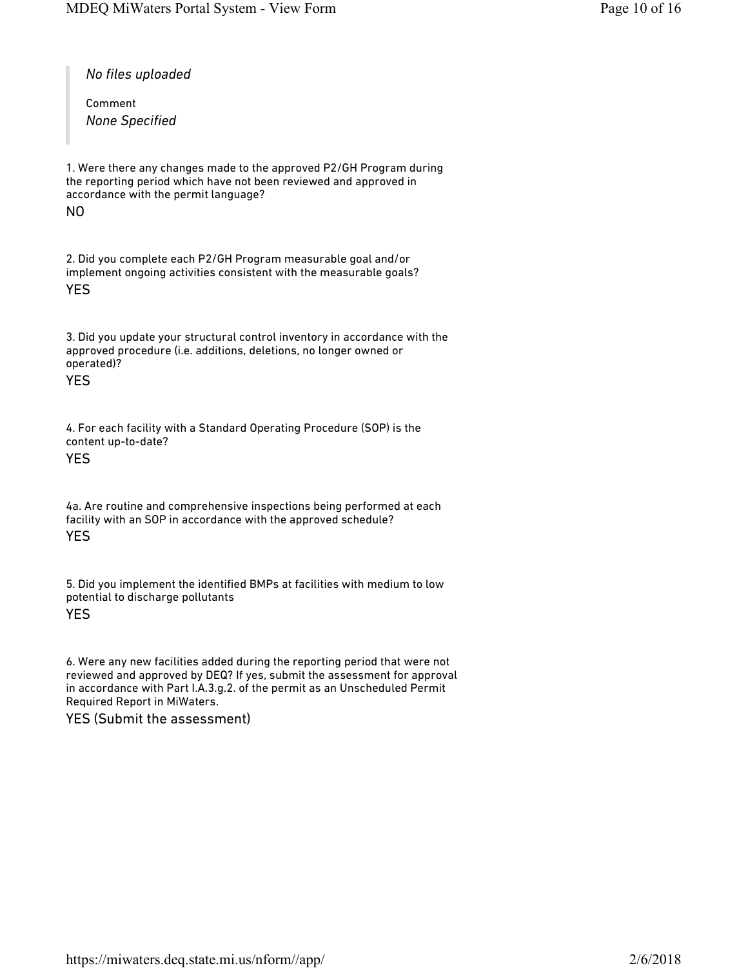*No files uploaded*

Comment *None Specified*

1. Were there any changes made to the approved P2/GH Program during the reporting period which have not been reviewed and approved in accordance with the permit language?

NO

2. Did you complete each P2/GH Program measurable goal and/or implement ongoing activities consistent with the measurable goals? YES

3. Did you update your structural control inventory in accordance with the approved procedure (i.e. additions, deletions, no longer owned or operated)?

YES

4. For each facility with a Standard Operating Procedure (SOP) is the content up-to-date?

YES

4a. Are routine and comprehensive inspections being performed at each facility with an SOP in accordance with the approved schedule? YES

5. Did you implement the identified BMPs at facilities with medium to low potential to discharge pollutants

YES

6. Were any new facilities added during the reporting period that were not reviewed and approved by DEQ? If yes, submit the assessment for approval in accordance with Part I.A.3.g.2. of the permit as an Unscheduled Permit Required Report in MiWaters.

YES (Submit the assessment)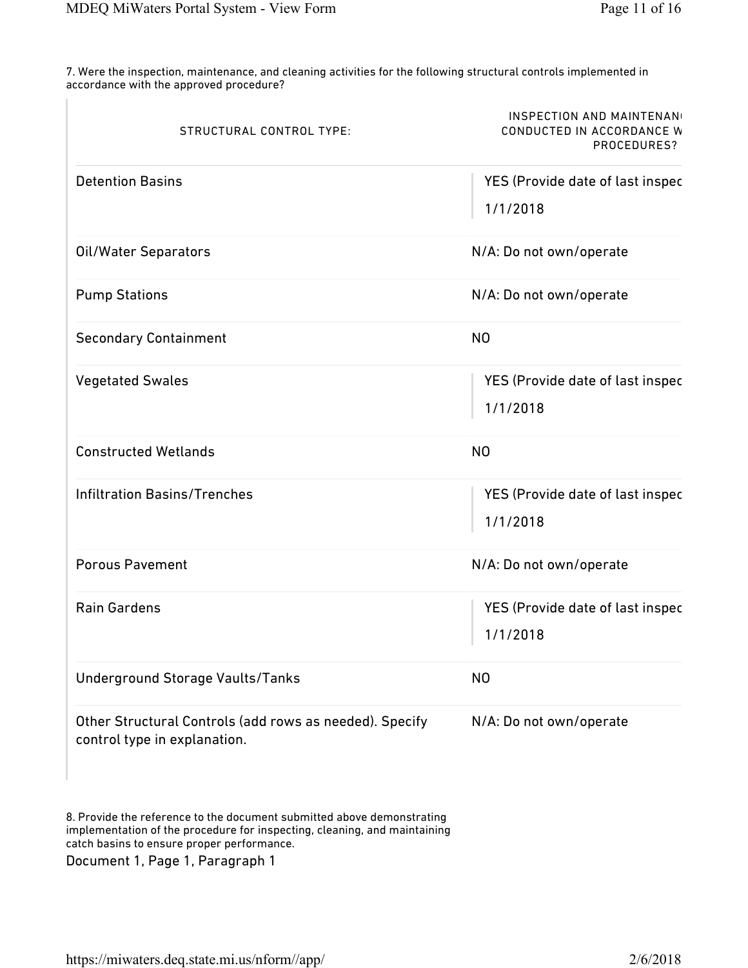7. Were the inspection, maintenance, and cleaning activities for the following structural controls implemented in accordance with the approved procedure?

| STRUCTURAL CONTROL TYPE:                                                                | <b>INSPECTION AND MAINTENAN</b><br>CONDUCTED IN ACCORDANCE W<br>PROCEDURES? |  |
|-----------------------------------------------------------------------------------------|-----------------------------------------------------------------------------|--|
| <b>Detention Basins</b>                                                                 | YES (Provide date of last inspec<br>1/1/2018                                |  |
| Oil/Water Separators                                                                    | N/A: Do not own/operate                                                     |  |
| <b>Pump Stations</b>                                                                    | N/A: Do not own/operate                                                     |  |
| <b>Secondary Containment</b>                                                            | N <sub>O</sub>                                                              |  |
| <b>Vegetated Swales</b>                                                                 | YES (Provide date of last inspec<br>1/1/2018                                |  |
| <b>Constructed Wetlands</b>                                                             | N <sub>O</sub>                                                              |  |
| <b>Infiltration Basins/Trenches</b>                                                     | YES (Provide date of last inspec<br>1/1/2018                                |  |
| <b>Porous Pavement</b>                                                                  | N/A: Do not own/operate                                                     |  |
| <b>Rain Gardens</b>                                                                     | YES (Provide date of last inspec<br>1/1/2018                                |  |
| <b>Underground Storage Vaults/Tanks</b>                                                 | N <sub>O</sub>                                                              |  |
| Other Structural Controls (add rows as needed). Specify<br>control type in explanation. | N/A: Do not own/operate                                                     |  |

8. Provide the reference to the document submitted above demonstrating implementation of the procedure for inspecting, cleaning, and maintaining catch basins to ensure proper performance. Document 1, Page 1, Paragraph 1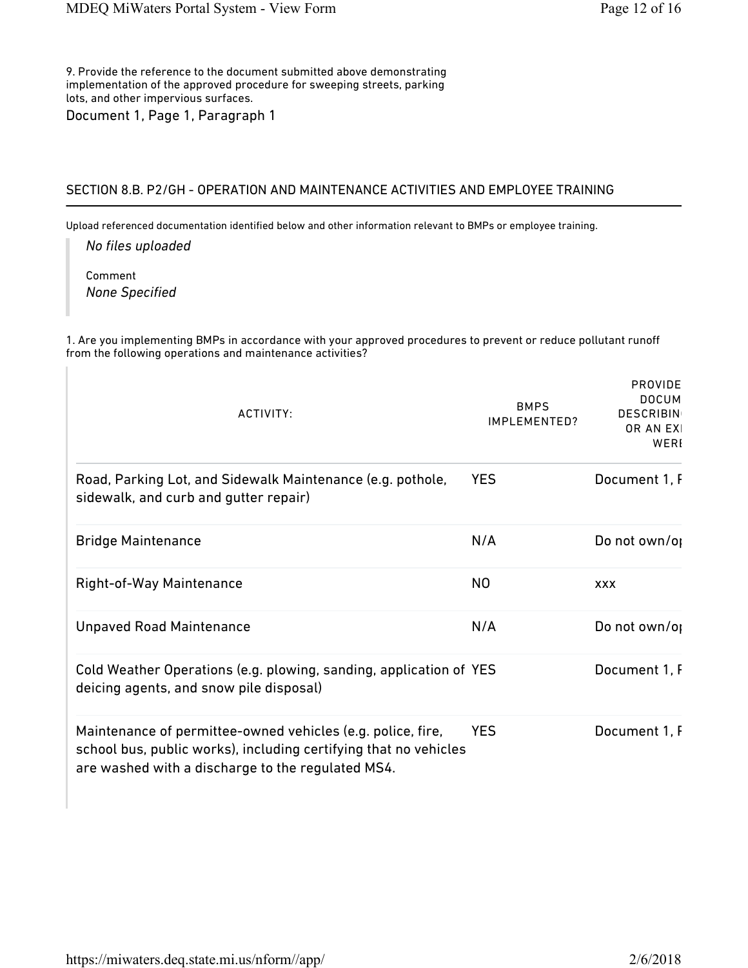9. Provide the reference to the document submitted above demonstrating implementation of the approved procedure for sweeping streets, parking lots, and other impervious surfaces. Document 1, Page 1, Paragraph 1

#### SECTION 8.B. P2/GH - OPERATION AND MAINTENANCE ACTIVITIES AND EMPLOYEE TRAINING

Upload referenced documentation identified below and other information relevant to BMPs or employee training.

*No files uploaded*

Comment *None Specified*

1. Are you implementing BMPs in accordance with your approved procedures to prevent or reduce pollutant runoff from the following operations and maintenance activities?

| ACTIVITY:                                                                                                                                                                            | <b>BMPS</b><br>IMPLEMENTED? | <b>PROVIDE</b><br><b>DOCUM</b><br><b>DESCRIBIN</b><br>OR AN EXI<br>WERI |
|--------------------------------------------------------------------------------------------------------------------------------------------------------------------------------------|-----------------------------|-------------------------------------------------------------------------|
| Road, Parking Lot, and Sidewalk Maintenance (e.g. pothole,<br>sidewalk, and curb and gutter repair)                                                                                  | <b>YES</b>                  | Document 1, F                                                           |
| <b>Bridge Maintenance</b>                                                                                                                                                            | N/A                         | Do not own/op                                                           |
| Right-of-Way Maintenance                                                                                                                                                             | N <sub>O</sub>              | <b>XXX</b>                                                              |
| <b>Unpaved Road Maintenance</b>                                                                                                                                                      | N/A                         | Do not own/or                                                           |
| Cold Weather Operations (e.g. plowing, sanding, application of YES<br>deicing agents, and snow pile disposal)                                                                        |                             | Document 1, F                                                           |
| Maintenance of permittee-owned vehicles (e.g. police, fire,<br>school bus, public works), including certifying that no vehicles<br>are washed with a discharge to the regulated MS4. | <b>YES</b>                  | Document 1, F                                                           |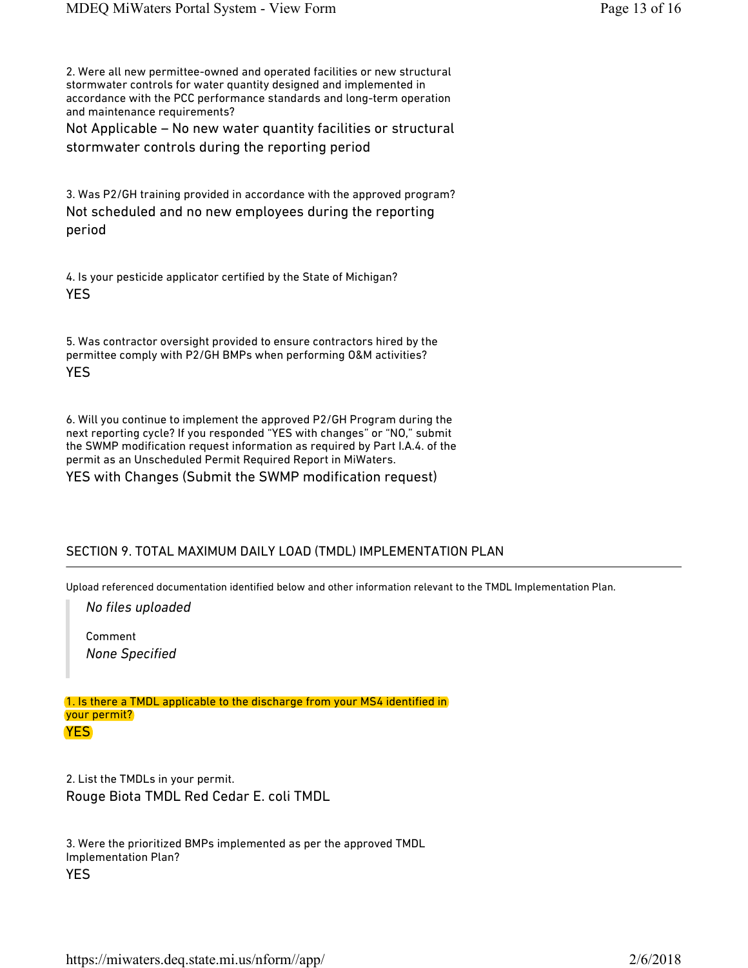2. Were all new permittee-owned and operated facilities or new structural stormwater controls for water quantity designed and implemented in accordance with the PCC performance standards and long-term operation and maintenance requirements?

Not Applicable – No new water quantity facilities or structural stormwater controls during the reporting period

3. Was P2/GH training provided in accordance with the approved program? Not scheduled and no new employees during the reporting period

4. Is your pesticide applicator certified by the State of Michigan? YES

5. Was contractor oversight provided to ensure contractors hired by the permittee comply with P2/GH BMPs when performing O&M activities? YES

6. Will you continue to implement the approved P2/GH Program during the next reporting cycle? If you responded "YES with changes" or "NO," submit the SWMP modification request information as required by Part I.A.4. of the permit as an Unscheduled Permit Required Report in MiWaters. YES with Changes (Submit the SWMP modification request)

## SECTION 9. TOTAL MAXIMUM DAILY LOAD (TMDL) IMPLEMENTATION PLAN

Upload referenced documentation identified below and other information relevant to the TMDL Implementation Plan.

*No files uploaded*

Comment *None Specified*

1. Is there a TMDL applicable to the discharge from your MS4 identified in your permit? YES

2. List the TMDLs in your permit. Rouge Biota TMDL Red Cedar E. coli TMDL

3. Were the prioritized BMPs implemented as per the approved TMDL Implementation Plan? YES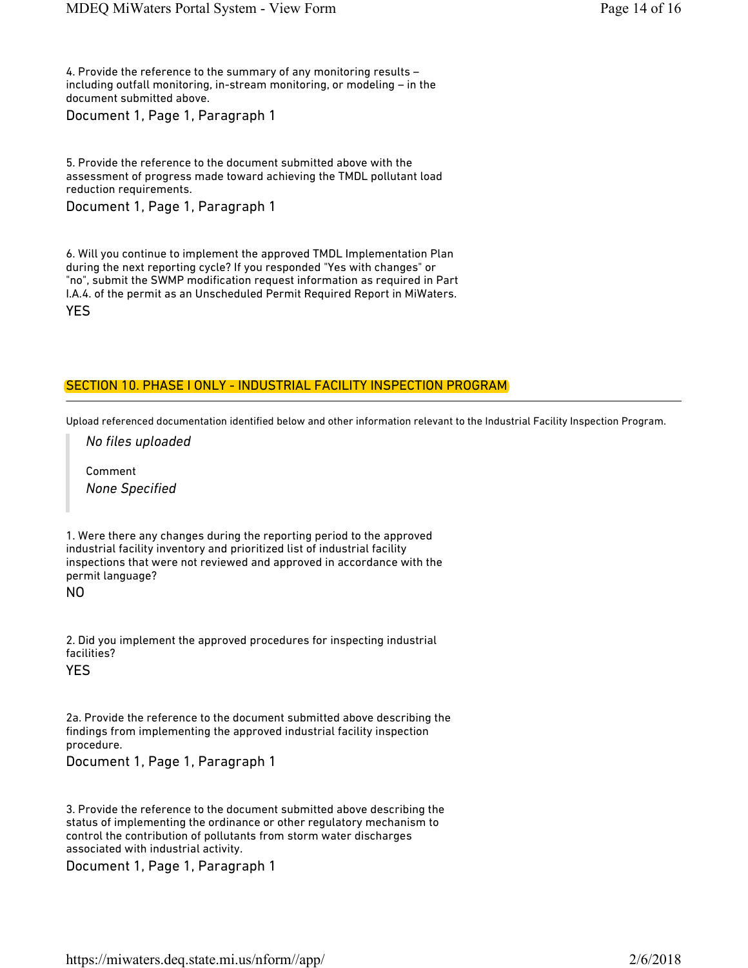4. Provide the reference to the summary of any monitoring results – including outfall monitoring, in-stream monitoring, or modeling – in the document submitted above.

Document 1, Page 1, Paragraph 1

5. Provide the reference to the document submitted above with the assessment of progress made toward achieving the TMDL pollutant load reduction requirements.

Document 1, Page 1, Paragraph 1

6. Will you continue to implement the approved TMDL Implementation Plan during the next reporting cycle? If you responded "Yes with changes" or "no", submit the SWMP modification request information as required in Part I.A.4. of the permit as an Unscheduled Permit Required Report in MiWaters. YES

# SECTION 10. PHASE I ONLY - INDUSTRIAL FACILITY INSPECTION PROGRAM

Upload referenced documentation identified below and other information relevant to the Industrial Facility Inspection Program.

*No files uploaded*

Comment *None Specified*

1. Were there any changes during the reporting period to the approved industrial facility inventory and prioritized list of industrial facility inspections that were not reviewed and approved in accordance with the permit language?

NO

2. Did you implement the approved procedures for inspecting industrial facilities?

YES

2a. Provide the reference to the document submitted above describing the findings from implementing the approved industrial facility inspection procedure.

Document 1, Page 1, Paragraph 1

3. Provide the reference to the document submitted above describing the status of implementing the ordinance or other regulatory mechanism to control the contribution of pollutants from storm water discharges associated with industrial activity.

Document 1, Page 1, Paragraph 1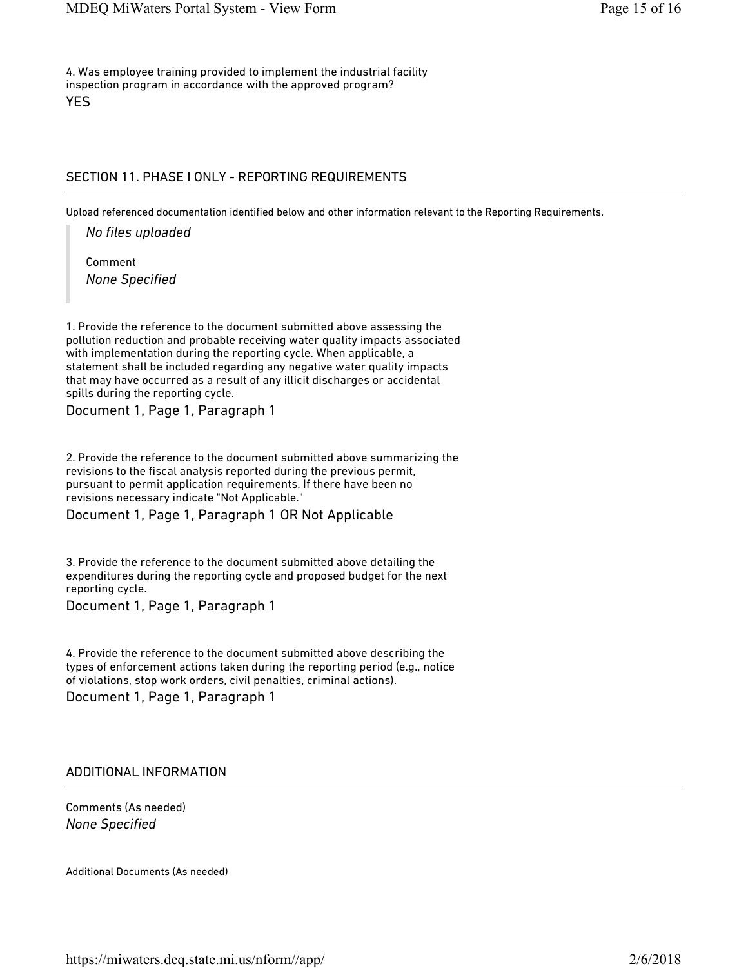4. Was employee training provided to implement the industrial facility inspection program in accordance with the approved program? YES

#### SECTION 11. PHASE I ONLY - REPORTING REQUIREMENTS

Upload referenced documentation identified below and other information relevant to the Reporting Requirements.

*No files uploaded*

Comment *None Specified*

1. Provide the reference to the document submitted above assessing the pollution reduction and probable receiving water quality impacts associated with implementation during the reporting cycle. When applicable, a statement shall be included regarding any negative water quality impacts that may have occurred as a result of any illicit discharges or accidental spills during the reporting cycle.

Document 1, Page 1, Paragraph 1

2. Provide the reference to the document submitted above summarizing the revisions to the fiscal analysis reported during the previous permit, pursuant to permit application requirements. If there have been no revisions necessary indicate "Not Applicable."

Document 1, Page 1, Paragraph 1 OR Not Applicable

3. Provide the reference to the document submitted above detailing the expenditures during the reporting cycle and proposed budget for the next reporting cycle.

Document 1, Page 1, Paragraph 1

4. Provide the reference to the document submitted above describing the types of enforcement actions taken during the reporting period (e.g., notice of violations, stop work orders, civil penalties, criminal actions).

Document 1, Page 1, Paragraph 1

#### ADDITIONAL INFORMATION

Comments (As needed) *None Specified*

Additional Documents (As needed)